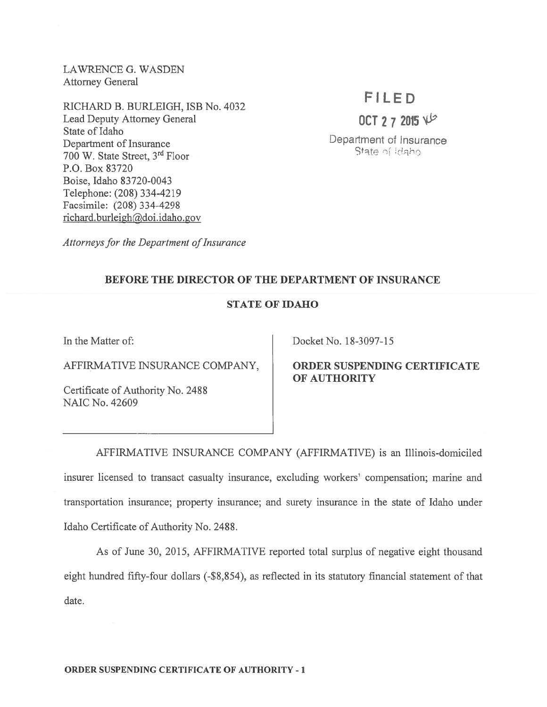LAWRENCE G. WASDEN Attorney General

RICHARD B. BURLEIGH, ISB No. 4032 Lead Deputy Attorney General State of Idaho Department of Insurance 700 W. State Street, 3rd Floor P.O. Box 83720 Boise, Idaho 83 720-0043 Telephone: (208) 334-4219 Facsimile: (208) 334-4298 richard.burleigh@doi.idaho.gov

# FILED

OCT 2 7 2015  $V^2$ 

Department of Insurance State of Idaho

Attorneys for the Department of Insurance

### BEFORE THE DIRECTOR OF THE DEPARTMENT OF INSURANCE

### STATE OF IDAHO

In the Matter of:

AFFIRMATIVE INSURANCE COMPANY,

Certificate of Authority No. 2488 NAIC No. 42609

Docket No. 18-3097-15

ORDER SUSPENDING CERTIFICATE OF AUTHORITY

AFFIRMATIVE INSURANCE COMPANY (AFFIRMATIVE) is an Illinois-domiciled insurer licensed to transact casualty insurance, excluding workers' compensation; marine and transportation insurance; property insurance; and surety insurance in the state of Idaho under Idaho Certificate of Authority No. 2488.

As of June 30, 2015, AFFIRMATIVE reported total surplus of negative eight thousand eight hundred fifty-four dollars (-\$8,854), as reflected in its statutory financial statement of that date.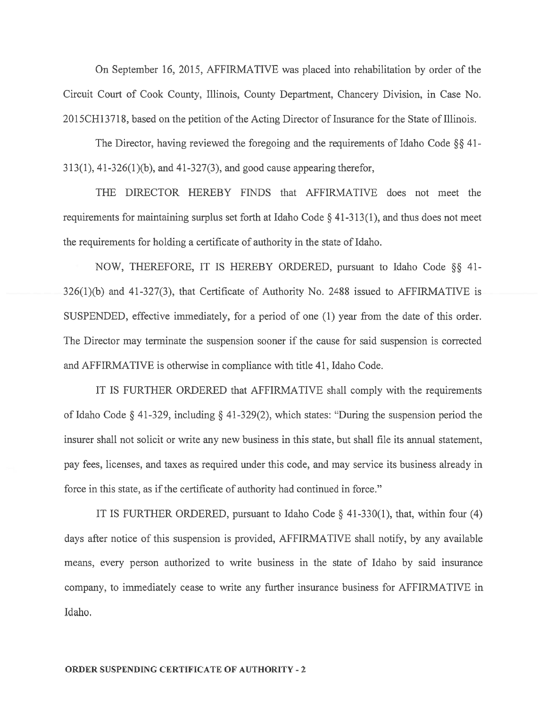On September 16, 2015, AFFIRMATIVE was placed into rehabilitation by order of the Circuit Court of Cook County, Illinois, County Department, Chancery Division, in Case No. 2015 CH 13718, based on the petition of the Acting Director of Insurance for the State of Illinois.

The Director, having reviewed the foregoing and the requirements of Idaho Code  $\S$  41-313(1), 41-326(1)(b), and 41-327(3), and good cause appearing therefor,

THE DIRECTOR HEREBY FINDS that AFFIRMATIVE does not meet the requirements for maintaining surplus set forth at Idaho Code § 41-313(1), and thus does not meet the requirements for holding <sup>a</sup> certificate of authority in the state of Idaho.

NOW, THEREFORE, IT IS HEREBY ORDERED, pursuant to Idaho Code  $\S$ § 41-326(1)(b) and 41-327(3), that Certificate of Authority No. 2488 issued to AFFIRMATIVE is SUSPENDED, effective immediately, for <sup>a</sup> period of one (1) year from the date of this order. The Director may terminate the suspension sooner if the cause for said suspension is corrected and AFFIRMATIVE is otherwise in compliance with title 41, Idaho Code.

IT IS FURTHER ORDERED that AFFIRMATIVE shall comply with the requirements of Idaho Code § 41-329, including § 41-329(2), which states: "During the suspension period the insurer shall not solicit or write any new business in this state, but shall file its annual statement, pay fees, licenses, and taxes as required under this code, and may service its business already in force in this state, as if the certificate of authority had continued in force."

IT IS FURTHER ORDERED, pursuant to Idaho Code  $\S$  41-330(1), that, within four (4) days after notice of this suspension is provided, AFFIRMATIVE shall notify, by any available means, every person authorized to write business in the state of Idaho by said insurance company, to immediately cease to write any further insurance business for AFFIRMATIVE in Idaho.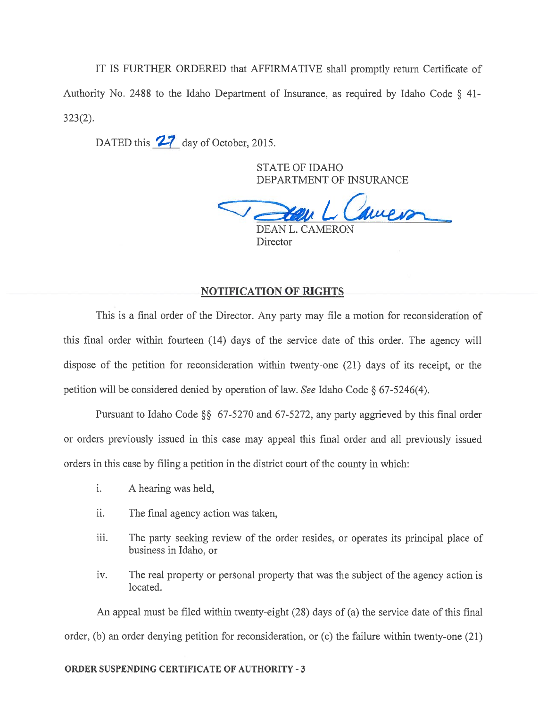IT IS FURTHER ORDERED that AFFIRMATIVE shall promptly return Certificate of Authority No. <sup>2488</sup> to the Idaho Department of Insurance, as required by Idaho Code § 41- 323(2).

DATED this 27 day of October, 2015.

STATE OF IDAHO DEPARTMENT OF INSURANCE

Lawer DEAN L. CAMERON

Director

### NOTIFICATION OF RIGHTS

This is <sup>a</sup> final order of the Director. Any party may file <sup>a</sup> motion for reconsideration of this final order within fourteen (14) days of the service date of this order. The agency will dispose of the petition for reconsideration within twenty-one (21) days of its receipt, or the petition will be considered denied by operation of law. See Idaho Code § 67-5246(4).

Pursuant to Idaho Code  $\S$ § 67-5270 and 67-5272, any party aggrieved by this final order or orders previously issued in this case may appeal this final order and all previously issued orders in this case by filing <sup>a</sup> petition in the district court of the county in which:

- i. A hearing was held,
- ii. The final agency action was taken,
- iii. The party seeking review of the order resides, or operates its principal place of business in Idaho, or
- iv. The real property or personal property that was the subject of the agency action is located.

An appeal must be filed within twenty-eight (28) days of (a) the service date of this final order, (b) an order denying petition for reconsideration, or (c) the failure within twenty-one (21)

#### ORDER SUSPENDING CERTIFICATE OF AUTHORITY -3